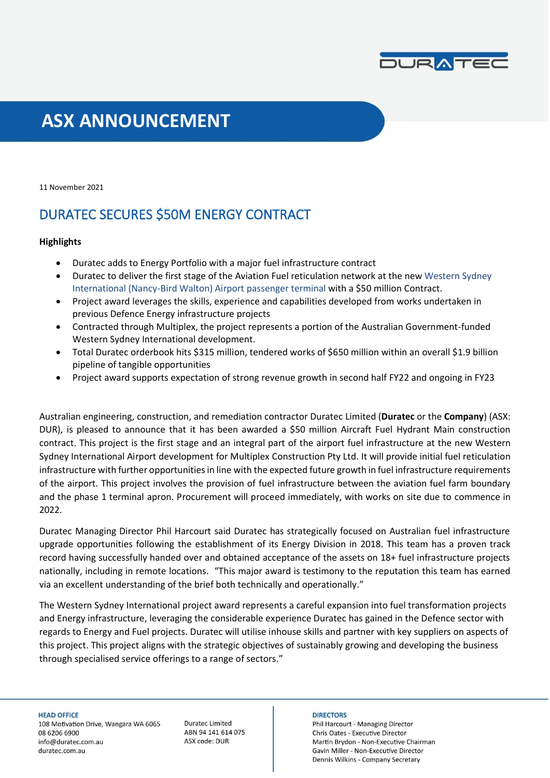

# **ASX ANNOUNCEMENT**

11 November 2021

## DURATEC SECURES \$50M ENERGY CONTRACT

### **Highlights**

- Duratec adds to Energy Portfolio with a major fuel infrastructure contract
- Duratec to deliver the first stage of the Aviation Fuel reticulation network at the new Western Sydney International (Nancy-Bird Walton) Airport passenger terminal with a \$50 million Contract.
- Project award leverages the skills, experience and capabilities developed from works undertaken in previous Defence Energy infrastructure projects
- Contracted through Multiplex, the project represents a portion of the Australian Government-funded Western Sydney International development.
- Total Duratec orderbook hits \$315 million, tendered works of \$650 million within an overall \$1.9 billion pipeline of tangible opportunities
- Project award supports expectation of strong revenue growth in second half FY22 and ongoing in FY23

Australian engineering, construction, and remediation contractor Duratec Limited (**Duratec** or the **Company**) (ASX: DUR), is pleased to announce that it has been awarded a \$50 million Aircraft Fuel Hydrant Main construction contract. This project is the first stage and an integral part of the airport fuel infrastructure at the new Western Sydney International Airport development for Multiplex Construction Pty Ltd. It will provide initial fuel reticulation infrastructure with further opportunities in line with the expected future growth in fuel infrastructure requirements of the airport. This project involves the provision of fuel infrastructure between the aviation fuel farm boundary and the phase 1 terminal apron. Procurement will proceed immediately, with works on site due to commence in 2022.

Duratec Managing Director Phil Harcourt said Duratec has strategically focused on Australian fuel infrastructure upgrade opportunities following the establishment of its Energy Division in 2018. This team has a proven track record having successfully handed over and obtained acceptance of the assets on 18+ fuel infrastructure projects nationally, including in remote locations. "This major award is testimony to the reputation this team has earned via an excellent understanding of the brief both technically and operationally."

The Western Sydney International project award represents a careful expansion into fuel transformation projects and Energy infrastructure, leveraging the considerable experience Duratec has gained in the Defence sector with regards to Energy and Fuel projects. Duratec will utilise inhouse skills and partner with key suppliers on aspects of this project. This project aligns with the strategic objectives of sustainably growing and developing the business through specialised service offerings to a range of sectors."

**HEAD OFFICE** 

108 Motivation Drive, Wangara WA 6065 08 6206 6900 info@duratec.com.au duratec.com.au

**Duratec Limited** ABN 94 141 614 075 ASX code: DUR

#### **DIRECTORS**

Phil Harcourt - Managing Director Chris Oates - Executive Director Martin Brydon - Non-Executive Chairman Gavin Miller - Non-Executive Director Dennis Wilkins - Company Secretary